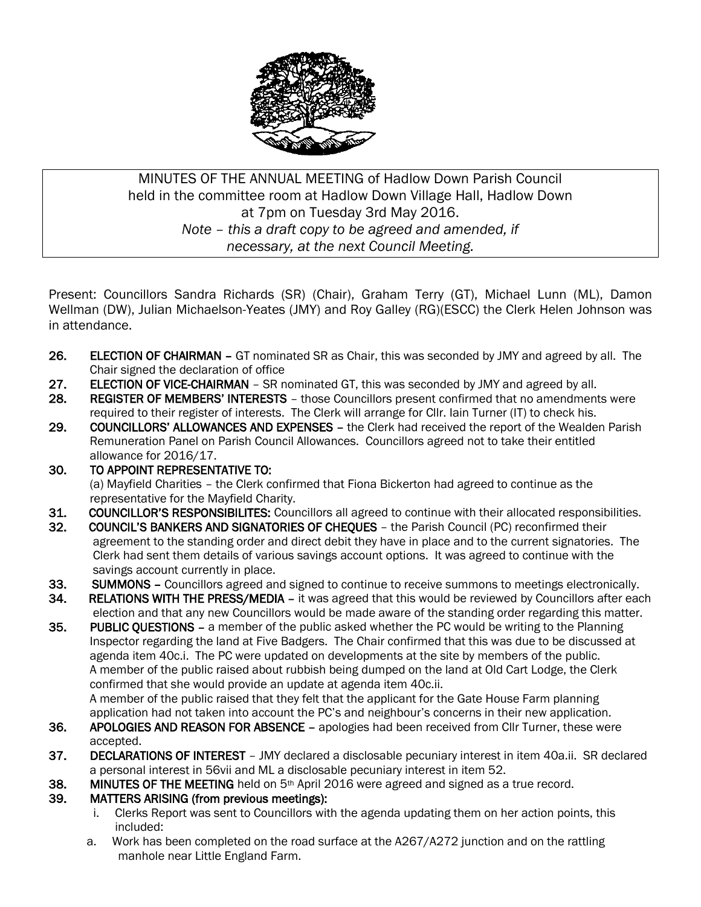

# MINUTES OF THE ANNUAL MEETING of Hadlow Down Parish Council held in the committee room at Hadlow Down Village Hall, Hadlow Down at 7pm on Tuesday 3rd May 2016. *Note – this a draft copy to be agreed and amended, if necessary, at the next Council Meeting.*

Present: Councillors Sandra Richards (SR) (Chair), Graham Terry (GT), Michael Lunn (ML), Damon Wellman (DW), Julian Michaelson-Yeates (JMY) and Roy Galley (RG)(ESCC) the Clerk Helen Johnson was in attendance.

- 26. ELECTION OF CHAIRMAN GT nominated SR as Chair, this was seconded by JMY and agreed by all. The Chair signed the declaration of office
- 27. ELECTION OF VICE-CHAIRMAN SR nominated GT, this was seconded by JMY and agreed by all.
- 28. REGISTER OF MEMBERS' INTERESTS those Councillors present confirmed that no amendments were required to their register of interests. The Clerk will arrange for Cllr. Iain Turner (IT) to check his.
- 29. COUNCILLORS' ALLOWANCES AND EXPENSES the Clerk had received the report of the Wealden Parish Remuneration Panel on Parish Council Allowances. Councillors agreed not to take their entitled allowance for 2016/17.
- 30. TO APPOINT REPRESENTATIVE TO: (a) Mayfield Charities – the Clerk confirmed that Fiona Bickerton had agreed to continue as the representative for the Mayfield Charity.
- 31. COUNCILLOR'S RESPONSIBILITES: Councillors all agreed to continue with their allocated responsibilities.
- 32. COUNCIL'S BANKERS AND SIGNATORIES OF CHEQUES the Parish Council (PC) reconfirmed their agreement to the standing order and direct debit they have in place and to the current signatories. The Clerk had sent them details of various savings account options. It was agreed to continue with the savings account currently in place.
- 33. SUMMONS Councillors agreed and signed to continue to receive summons to meetings electronically.
- 34. RELATIONS WITH THE PRESS/MEDIA it was agreed that this would be reviewed by Councillors after each election and that any new Councillors would be made aware of the standing order regarding this matter.
- 35. PUBLIC QUESTIONS a member of the public asked whether the PC would be writing to the Planning Inspector regarding the land at Five Badgers. The Chair confirmed that this was due to be discussed at agenda item 40c.i. The PC were updated on developments at the site by members of the public. A member of the public raised about rubbish being dumped on the land at Old Cart Lodge, the Clerk confirmed that she would provide an update at agenda item 40c.ii. A member of the public raised that they felt that the applicant for the Gate House Farm planning

application had not taken into account the PC's and neighbour's concerns in their new application.

- 36. APOLOGIES AND REASON FOR ABSENCE apologies had been received from Cllr Turner, these were accepted.
- 37. DECLARATIONS OF INTEREST JMY declared a disclosable pecuniary interest in item 40a.ii. SR declared a personal interest in 56vii and ML a disclosable pecuniary interest in item 52.
- 38. MINUTES OF THE MEETING held on  $5<sup>th</sup>$  April 2016 were agreed and signed as a true record.

### 39. MATTERS ARISING (from previous meetings):

- i. Clerks Report was sent to Councillors with the agenda updating them on her action points, this included:
- a. Work has been completed on the road surface at the A267/A272 junction and on the rattling manhole near Little England Farm.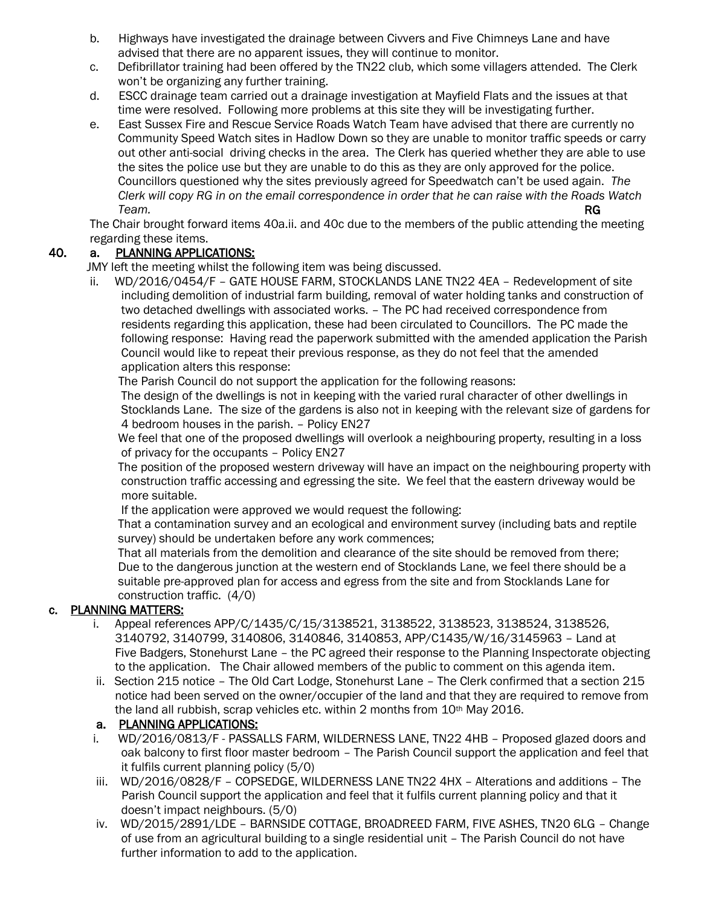- b. Highways have investigated the drainage between Civvers and Five Chimneys Lane and have advised that there are no apparent issues, they will continue to monitor.
- c. Defibrillator training had been offered by the TN22 club, which some villagers attended. The Clerk won't be organizing any further training.
- d. ESCC drainage team carried out a drainage investigation at Mayfield Flats and the issues at that time were resolved. Following more problems at this site they will be investigating further.
- e. East Sussex Fire and Rescue Service Roads Watch Team have advised that there are currently no Community Speed Watch sites in Hadlow Down so they are unable to monitor traffic speeds or carry out other anti-social driving checks in the area. The Clerk has queried whether they are able to use the sites the police use but they are unable to do this as they are only approved for the police. Councillors questioned why the sites previously agreed for Speedwatch can't be used again. *The Clerk will copy RG in on the email correspondence in order that he can raise with the Roads Watch Team.* **RG**

 The Chair brought forward items 40a.ii. and 40c due to the members of the public attending the meeting regarding these items.

### 40. a. PLANNING APPLICATIONS:

JMY left the meeting whilst the following item was being discussed.

ii. WD/2016/0454/F – GATE HOUSE FARM, STOCKLANDS LANE TN22 4EA – Redevelopment of site including demolition of industrial farm building, removal of water holding tanks and construction of two detached dwellings with associated works. – The PC had received correspondence from residents regarding this application, these had been circulated to Councillors. The PC made the following response: Having read the paperwork submitted with the amended application the Parish Council would like to repeat their previous response, as they do not feel that the amended application alters this response:

The Parish Council do not support the application for the following reasons:

 The design of the dwellings is not in keeping with the varied rural character of other dwellings in Stocklands Lane. The size of the gardens is also not in keeping with the relevant size of gardens for 4 bedroom houses in the parish. – Policy EN27

We feel that one of the proposed dwellings will overlook a neighbouring property, resulting in a loss of privacy for the occupants – Policy EN27

 The position of the proposed western driveway will have an impact on the neighbouring property with construction traffic accessing and egressing the site. We feel that the eastern driveway would be more suitable.

If the application were approved we would request the following:

 That a contamination survey and an ecological and environment survey (including bats and reptile survey) should be undertaken before any work commences;

 That all materials from the demolition and clearance of the site should be removed from there; Due to the dangerous junction at the western end of Stocklands Lane, we feel there should be a suitable pre-approved plan for access and egress from the site and from Stocklands Lane for construction traffic. (4/0)

## c. PLANNING MATTERS:

- i. Appeal references APP/C/1435/C/15/3138521, 3138522, 3138523, 3138524, 3138526, 3140792, 3140799, 3140806, 3140846, 3140853, APP/C1435/W/16/3145963 – Land at Five Badgers, Stonehurst Lane – the PC agreed their response to the Planning Inspectorate objecting to the application. The Chair allowed members of the public to comment on this agenda item.
- ii. Section 215 notice The Old Cart Lodge, Stonehurst Lane The Clerk confirmed that a section 215 notice had been served on the owner/occupier of the land and that they are required to remove from the land all rubbish, scrap vehicles etc. within 2 months from 10<sup>th</sup> May 2016.

## a. PLANNING APPLICATIONS:

- i. WD/2016/0813/F PASSALLS FARM, WILDERNESS LANE, TN22 4HB Proposed glazed doors and oak balcony to first floor master bedroom – The Parish Council support the application and feel that it fulfils current planning policy (5/0)
- iii. WD/2016/0828/F COPSEDGE, WILDERNESS LANE TN22 4HX Alterations and additions The Parish Council support the application and feel that it fulfils current planning policy and that it doesn't impact neighbours. (5/0)
- iv. WD/2015/2891/LDE BARNSIDE COTTAGE, BROADREED FARM, FIVE ASHES, TN20 6LG Change of use from an agricultural building to a single residential unit – The Parish Council do not have further information to add to the application.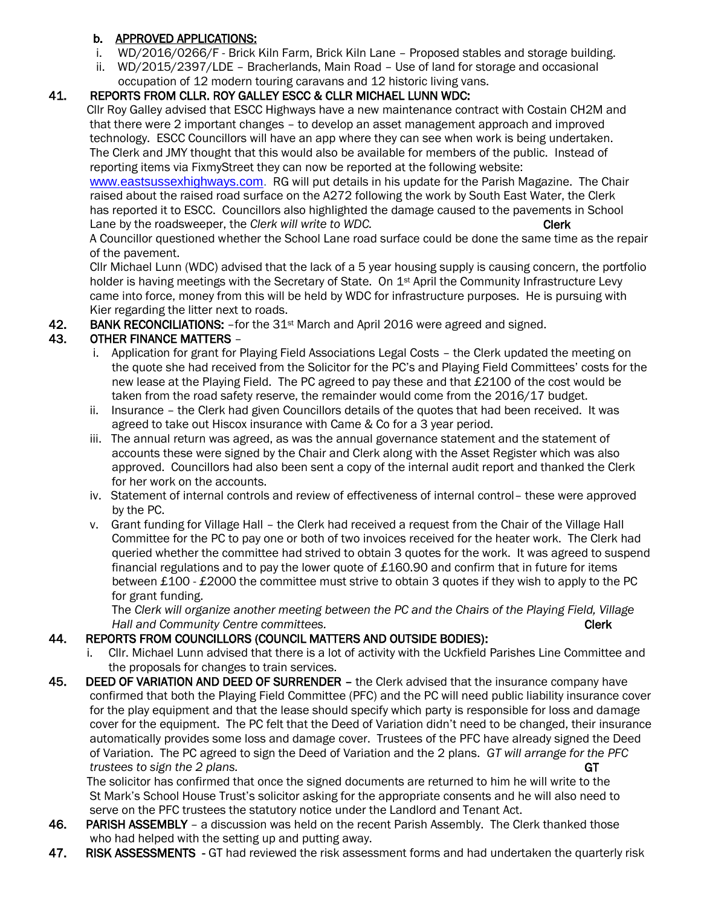### b. APPROVED APPLICATIONS:

- i. WD/2016/0266/F Brick Kiln Farm, Brick Kiln Lane Proposed stables and storage building.
- ii. WD/2015/2397/LDE Bracherlands, Main Road Use of land for storage and occasional occupation of 12 modern touring caravans and 12 historic living vans.

## 41. REPORTS FROM CLLR. ROY GALLEY ESCC & CLLR MICHAEL LUNN WDC:

 Cllr Roy Galley advised that ESCC Highways have a new maintenance contract with Costain CH2M and that there were 2 important changes – to develop an asset management approach and improved technology. ESCC Councillors will have an app where they can see when work is being undertaken. The Clerk and JMY thought that this would also be available for members of the public. Instead of reporting items via FixmyStreet they can now be reported at the following website:

 [www.eastsussexhighways.com.](http://www.eastsussexhighways.com/) RG will put details in his update for the Parish Magazine. The Chair raised about the raised road surface on the A272 following the work by South East Water, the Clerk has reported it to ESCC. Councillors also highlighted the damage caused to the pavements in School Lane by the roadsweeper, the *Clerk will write to WDC*. Clerk Clerk

 A Councillor questioned whether the School Lane road surface could be done the same time as the repair of the pavement.

 Cllr Michael Lunn (WDC) advised that the lack of a 5 year housing supply is causing concern, the portfolio holder is having meetings with the Secretary of State. On 1<sup>st</sup> April the Community Infrastructure Levy came into force, money from this will be held by WDC for infrastructure purposes. He is pursuing with Kier regarding the litter next to roads.

42. BANK RECONCILIATIONS: - for the 31<sup>st</sup> March and April 2016 were agreed and signed.

## 43. OTHER FINANCE MATTERS –

- i. Application for grant for Playing Field Associations Legal Costs the Clerk updated the meeting on the quote she had received from the Solicitor for the PC's and Playing Field Committees' costs for the new lease at the Playing Field. The PC agreed to pay these and that £2100 of the cost would be taken from the road safety reserve, the remainder would come from the 2016/17 budget.
- ii. Insurance the Clerk had given Councillors details of the quotes that had been received. It was agreed to take out Hiscox insurance with Came & Co for a 3 year period.
- iii. The annual return was agreed, as was the annual governance statement and the statement of accounts these were signed by the Chair and Clerk along with the Asset Register which was also approved. Councillors had also been sent a copy of the internal audit report and thanked the Clerk for her work on the accounts.
- iv. Statement of internal controls and review of effectiveness of internal control– these were approved by the PC.
- v. Grant funding for Village Hall the Clerk had received a request from the Chair of the Village Hall Committee for the PC to pay one or both of two invoices received for the heater work. The Clerk had queried whether the committee had strived to obtain 3 quotes for the work. It was agreed to suspend financial regulations and to pay the lower quote of £160.90 and confirm that in future for items between £100 - £2000 the committee must strive to obtain 3 quotes if they wish to apply to the PC for grant funding.

 The *Clerk will organize another meeting between the PC and the Chairs of the Playing Field, Village Hall and Community Centre committees.* Clerk **Clerk Clerk** 

## 44. REPORTS FROM COUNCILLORS (COUNCIL MATTERS AND OUTSIDE BODIES):

- i. Cllr. Michael Lunn advised that there is a lot of activity with the Uckfield Parishes Line Committee and the proposals for changes to train services.
- 45. DEED OF VARIATION AND DEED OF SURRENDER the Clerk advised that the insurance company have confirmed that both the Playing Field Committee (PFC) and the PC will need public liability insurance cover for the play equipment and that the lease should specify which party is responsible for loss and damage cover for the equipment. The PC felt that the Deed of Variation didn't need to be changed, their insurance automatically provides some loss and damage cover. Trustees of the PFC have already signed the Deed of Variation. The PC agreed to sign the Deed of Variation and the 2 plans. *GT will arrange for the PFC trustees to sign the 2 plans.* GT

 The solicitor has confirmed that once the signed documents are returned to him he will write to the St Mark's School House Trust's solicitor asking for the appropriate consents and he will also need to serve on the PFC trustees the statutory notice under the Landlord and Tenant Act.

- 46. PARISH ASSEMBLY a discussion was held on the recent Parish Assembly. The Clerk thanked those who had helped with the setting up and putting away.
- 47. RISK ASSESSMENTS GT had reviewed the risk assessment forms and had undertaken the quarterly risk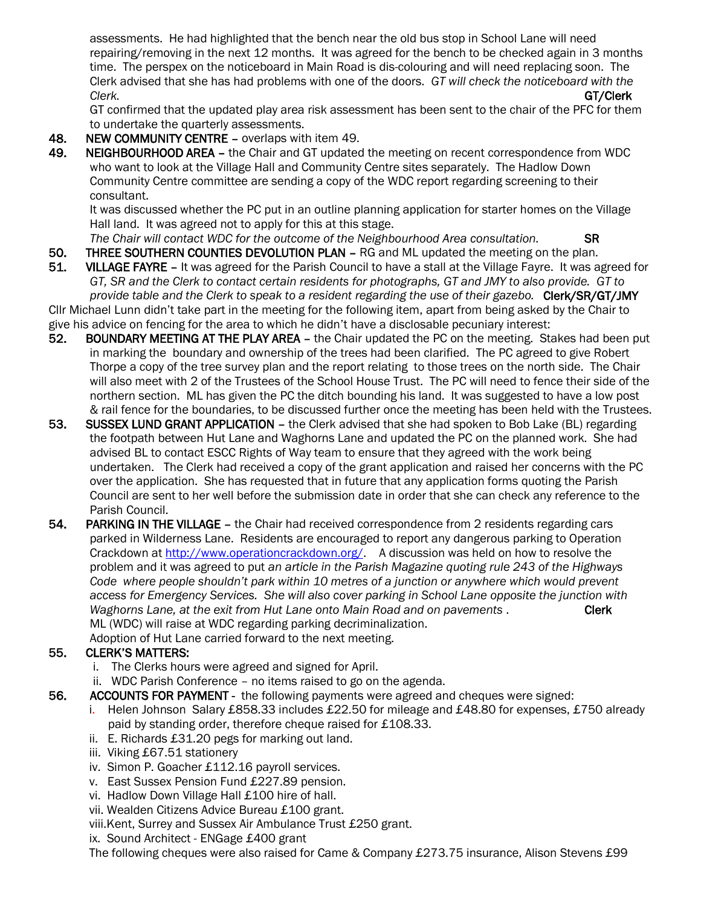assessments. He had highlighted that the bench near the old bus stop in School Lane will need repairing/removing in the next 12 months. It was agreed for the bench to be checked again in 3 months time. The perspex on the noticeboard in Main Road is dis-colouring and will need replacing soon. The Clerk advised that she has had problems with one of the doors. *GT will check the noticeboard with the Clerk.* GT/Clerk

 GT confirmed that the updated play area risk assessment has been sent to the chair of the PFC for them to undertake the quarterly assessments.

- 48. NEW COMMUNITY CENTRE overlaps with item 49.
- 49. NEIGHBOURHOOD AREA the Chair and GT updated the meeting on recent correspondence from WDC who want to look at the Village Hall and Community Centre sites separately. The Hadlow Down Community Centre committee are sending a copy of the WDC report regarding screening to their consultant.

 It was discussed whether the PC put in an outline planning application for starter homes on the Village Hall land. It was agreed not to apply for this at this stage.

*The Chair will contact WDC for the outcome of the Neighbourhood Area consultation.* SR

- 50. THREE SOUTHERN COUNTIES DEVOLUTION PLAN RG and ML updated the meeting on the plan.
- 51. VILLAGE FAYRE It was agreed for the Parish Council to have a stall at the Village Fayre. It was agreed for *GT, SR and the Clerk to contact certain residents for photographs, GT and JMY to also provide. GT to provide table and the Clerk to speak to a resident regarding the use of their gazebo.* Clerk/SR/GT/JMY

Cllr Michael Lunn didn't take part in the meeting for the following item, apart from being asked by the Chair to give his advice on fencing for the area to which he didn't have a disclosable pecuniary interest:

- 52. BOUNDARY MEETING AT THE PLAY AREA the Chair updated the PC on the meeting. Stakes had been put in marking the boundary and ownership of the trees had been clarified. The PC agreed to give Robert Thorpe a copy of the tree survey plan and the report relating to those trees on the north side. The Chair will also meet with 2 of the Trustees of the School House Trust. The PC will need to fence their side of the northern section. ML has given the PC the ditch bounding his land. It was suggested to have a low post & rail fence for the boundaries, to be discussed further once the meeting has been held with the Trustees.
- 53. SUSSEX LUND GRANT APPLICATION the Clerk advised that she had spoken to Bob Lake (BL) regarding the footpath between Hut Lane and Waghorns Lane and updated the PC on the planned work. She had advised BL to contact ESCC Rights of Way team to ensure that they agreed with the work being undertaken. The Clerk had received a copy of the grant application and raised her concerns with the PC over the application. She has requested that in future that any application forms quoting the Parish Council are sent to her well before the submission date in order that she can check any reference to the Parish Council.
- 54. PARKING IN THE VILLAGE the Chair had received correspondence from 2 residents regarding cars parked in Wilderness Lane. Residents are encouraged to report any dangerous parking to Operation Crackdown at [http://www.operationcrackdown.org/.](http://www.operationcrackdown.org/) A discussion was held on how to resolve the problem and it was agreed to put *an article in the Parish Magazine quoting rule 243 of the Highways Code where people shouldn't park within 10 metres of a junction or anywhere which would prevent access for Emergency Services. She will also cover parking in School Lane opposite the junction with Waghorns Lane, at the exit from Hut Lane onto Main Road and on pavements* . Clerk ML (WDC) will raise at WDC regarding parking decriminalization. Adoption of Hut Lane carried forward to the next meeting.

### 55. CLERK'S MATTERS:

- i. The Clerks hours were agreed and signed for April.
- ii. WDC Parish Conference no items raised to go on the agenda.
- 56. ACCOUNTS FOR PAYMENT the following payments were agreed and cheques were signed:
	- i. Helen Johnson Salary £858.33 includes £22.50 for mileage and £48.80 for expenses, £750 already paid by standing order, therefore cheque raised for £108.33.
	- ii. E. Richards £31.20 pegs for marking out land.
	- iii. Viking £67.51 stationery
	- iv. Simon P. Goacher £112.16 payroll services.
	- v. East Sussex Pension Fund £227.89 pension.
	- vi. Hadlow Down Village Hall £100 hire of hall.
	- vii. Wealden Citizens Advice Bureau £100 grant.

viii.Kent, Surrey and Sussex Air Ambulance Trust £250 grant.

ix. Sound Architect - ENGage £400 grant

The following cheques were also raised for Came & Company £273.75 insurance, Alison Stevens £99